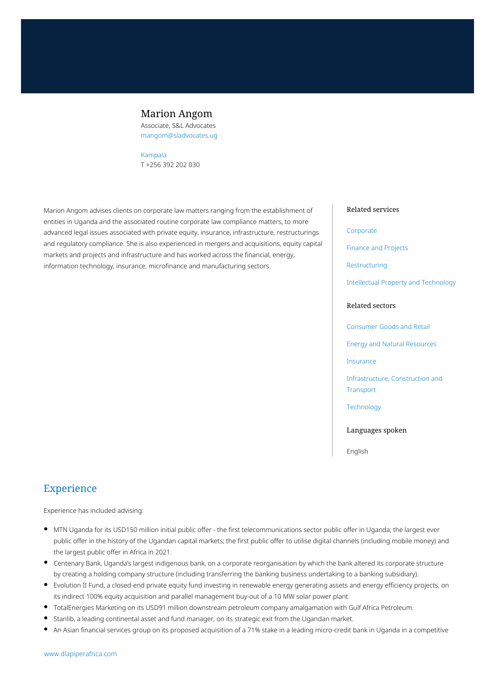## Marion Angom

Associate, S&L Advocates mangom@sladvocates.ug

#### [Kampala](https://www.dlapiperafrica.com/uganda/locations/kampala.html) T +256 392 202 030

Marion Angom advises clients on corporate law matters ranging from the establishment of entities in Uganda and the associated routine corporate law compliance matters, to more advanced legal issues associated with private equity, insurance, infrastructure, restructurings and regulatory compliance. She is also experienced in mergers and acquisitions, equity capital markets and projects and infrastructure and has worked across the financial, energy, information technology, insurance, microfinance and manufacturing sectors.

### Related services

#### [Corporate](https://www.dlapiperafrica.com/en/uganda/services/corporate.html)

[Finance and Projects](https://www.dlapiperafrica.com/en/uganda/services/finance-and-projects.html)

[Restructuring](https://www.dlapiperafrica.com/en/uganda/services/restructuring.html)

[Intellectual Property and Technology](https://www.dlapiperafrica.com/en/uganda/services/intellectual-property-and-technology.html)

### Related sectors

[Consumer Goods and Retail](https://www.dlapiperafrica.com/en/uganda/sectors/consumer-goods-and-retail.html)

[Energy and Natural Resources](https://www.dlapiperafrica.com/en/algeria/sectors/energy-and-natural-resources.html)

[Insurance](https://www.dlapiperafrica.com/en/uganda/sectors/insurance.html)

[Infrastructure, Construction and](https://www.dlapiperafrica.com/en/uganda/sectors/infrastructure-construction-transport.html) [Transport](https://www.dlapiperafrica.com/en/uganda/sectors/infrastructure-construction-transport.html)

**[Technology](https://www.dlapiperafrica.com/en/uganda/sectors/technology.html)** 

Languages spoken

English

# Experience

Experience has included advising:

- MTN Uganda for its USD150 million initial public offer the first telecommunications sector public offer in Uganda; the largest ever public offer in the history of the Ugandan capital markets; the first public offer to utilise digital channels (including mobile money) and the largest public offer in Africa in 2021.
- Centenary Bank, Uganda's largest indigenous bank, on a corporate reorganisation by which the bank altered its corporate structure by creating a holding company structure (including transferring the banking business undertaking to a banking subsidiary).
- Evolution II Fund, a closed-end private equity fund investing in renewable energy generating assets and energy efficiency projects, on its indirect 100% equity acquisition and parallel management buy-out of a 10 MW solar power plant.
- TotalEnergies Marketing on its USD91 million downstream petroleum company amalgamation with Gulf Africa Petroleum.
- Stanlib, a leading continental asset and fund manager, on its strategic exit from the Ugandan market.
- An Asian financial services group on its proposed acquisition of a 71% stake in a leading micro-credit bank in Uganda in a competitive